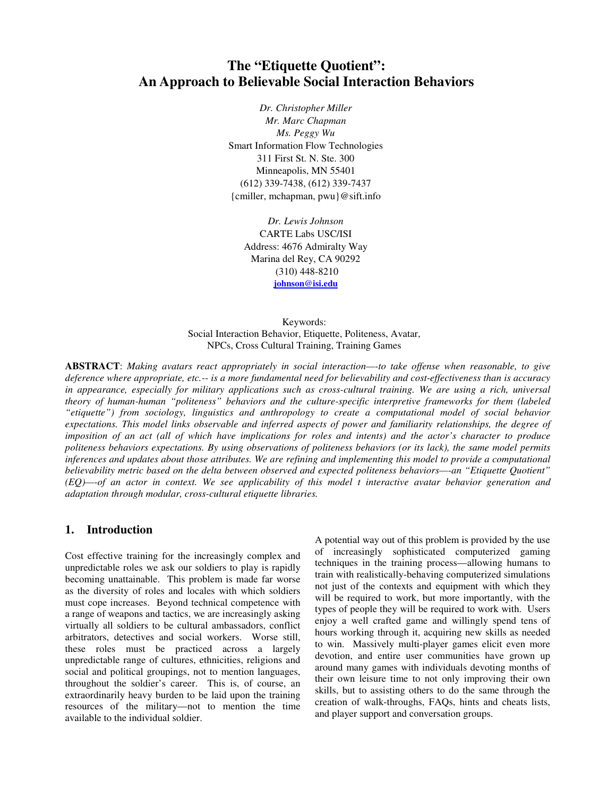# **The "Etiquette Quotient": An Approach to Believable Social Interaction Behaviors**

*Dr. Christopher Miller Mr. Marc Chapman Ms. Peggy Wu* Smart Information Flow Technologies 311 First St. N. Ste. 300 Minneapolis, MN 55401 (612) 339-7438, (612) 339-7437 {cmiller, mchapman, pwu}@sift.info

> *Dr. Lewis Johnson*  CARTE Labs USC/ISI Address: 4676 Admiralty Way Marina del Rey, CA 90292 (310) 448-8210 **johnson@isi.edu**

Keywords: Social Interaction Behavior, Etiquette, Politeness, Avatar, NPCs, Cross Cultural Training, Training Games

**ABSTRACT**: *Making avatars react appropriately in social interaction—-to take offense when reasonable, to give deference where appropriate, etc.-- is a more fundamental need for believability and cost-effectiveness than is accuracy in appearance, especially for military applications such as cross-cultural training. We are using a rich, universal theory of human-human "politeness" behaviors and the culture-specific interpretive frameworks for them (labeled "etiquette") from sociology, linguistics and anthropology to create a computational model of social behavior expectations. This model links observable and inferred aspects of power and familiarity relationships, the degree of imposition of an act (all of which have implications for roles and intents) and the actor's character to produce politeness behaviors expectations. By using observations of politeness behaviors (or its lack), the same model permits inferences and updates about those attributes. We are refining and implementing this model to provide a computational believability metric based on the delta between observed and expected politeness behaviors—-an "Etiquette Quotient" (EQ)—-of an actor in context. We see applicability of this model t interactive avatar behavior generation and adaptation through modular, cross-cultural etiquette libraries.* 

### **1. Introduction**

Cost effective training for the increasingly complex and unpredictable roles we ask our soldiers to play is rapidly becoming unattainable. This problem is made far worse as the diversity of roles and locales with which soldiers must cope increases. Beyond technical competence with a range of weapons and tactics, we are increasingly asking virtually all soldiers to be cultural ambassadors, conflict arbitrators, detectives and social workers. Worse still, these roles must be practiced across a largely unpredictable range of cultures, ethnicities, religions and social and political groupings, not to mention languages, throughout the soldier's career. This is, of course, an extraordinarily heavy burden to be laid upon the training resources of the military—not to mention the time available to the individual soldier.

A potential way out of this problem is provided by the use of increasingly sophisticated computerized gaming techniques in the training process—allowing humans to train with realistically-behaving computerized simulations not just of the contexts and equipment with which they will be required to work, but more importantly, with the types of people they will be required to work with. Users enjoy a well crafted game and willingly spend tens of hours working through it, acquiring new skills as needed to win. Massively multi-player games elicit even more devotion, and entire user communities have grown up around many games with individuals devoting months of their own leisure time to not only improving their own skills, but to assisting others to do the same through the creation of walk-throughs, FAQs, hints and cheats lists, and player support and conversation groups.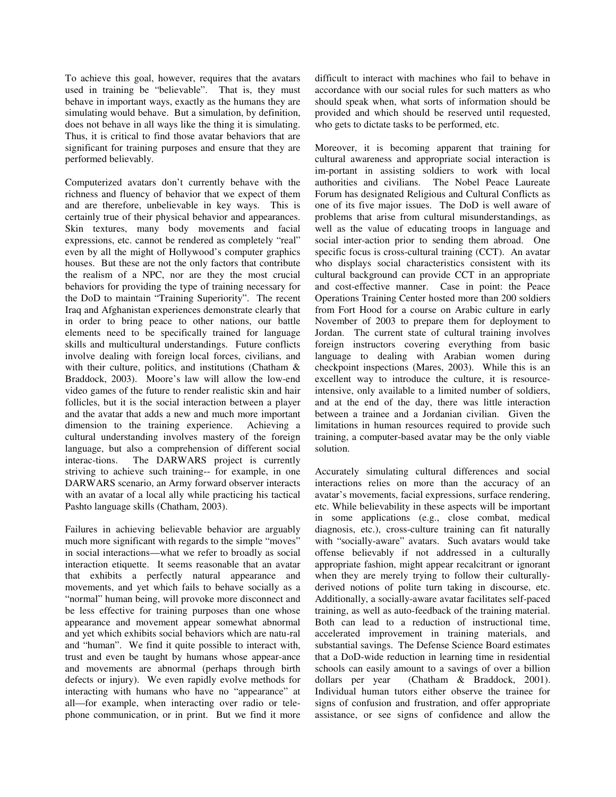To achieve this goal, however, requires that the avatars used in training be "believable". That is, they must behave in important ways, exactly as the humans they are simulating would behave. But a simulation, by definition, does not behave in all ways like the thing it is simulating. Thus, it is critical to find those avatar behaviors that are significant for training purposes and ensure that they are performed believably.

Computerized avatars don't currently behave with the richness and fluency of behavior that we expect of them and are therefore, unbelievable in key ways. This is certainly true of their physical behavior and appearances. Skin textures, many body movements and facial expressions, etc. cannot be rendered as completely "real" even by all the might of Hollywood's computer graphics houses. But these are not the only factors that contribute the realism of a NPC, nor are they the most crucial behaviors for providing the type of training necessary for the DoD to maintain "Training Superiority". The recent Iraq and Afghanistan experiences demonstrate clearly that in order to bring peace to other nations, our battle elements need to be specifically trained for language skills and multicultural understandings. Future conflicts involve dealing with foreign local forces, civilians, and with their culture, politics, and institutions (Chatham & Braddock, 2003). Moore's law will allow the low-end video games of the future to render realistic skin and hair follicles, but it is the social interaction between a player and the avatar that adds a new and much more important dimension to the training experience. Achieving a cultural understanding involves mastery of the foreign language, but also a comprehension of different social interac-tions. The DARWARS project is currently striving to achieve such training-- for example, in one DARWARS scenario, an Army forward observer interacts with an avatar of a local ally while practicing his tactical Pashto language skills (Chatham, 2003).

Failures in achieving believable behavior are arguably much more significant with regards to the simple "moves" in social interactions—what we refer to broadly as social interaction etiquette. It seems reasonable that an avatar that exhibits a perfectly natural appearance and movements, and yet which fails to behave socially as a "normal" human being, will provoke more disconnect and be less effective for training purposes than one whose appearance and movement appear somewhat abnormal and yet which exhibits social behaviors which are natu-ral and "human". We find it quite possible to interact with, trust and even be taught by humans whose appear-ance and movements are abnormal (perhaps through birth defects or injury). We even rapidly evolve methods for interacting with humans who have no "appearance" at all—for example, when interacting over radio or telephone communication, or in print. But we find it more

difficult to interact with machines who fail to behave in accordance with our social rules for such matters as who should speak when, what sorts of information should be provided and which should be reserved until requested, who gets to dictate tasks to be performed, etc.

Moreover, it is becoming apparent that training for cultural awareness and appropriate social interaction is im-portant in assisting soldiers to work with local authorities and civilians. The Nobel Peace Laureate Forum has designated Religious and Cultural Conflicts as one of its five major issues. The DoD is well aware of problems that arise from cultural misunderstandings, as well as the value of educating troops in language and social inter-action prior to sending them abroad. One specific focus is cross-cultural training (CCT). An avatar who displays social characteristics consistent with its cultural background can provide CCT in an appropriate and cost-effective manner. Case in point: the Peace Operations Training Center hosted more than 200 soldiers from Fort Hood for a course on Arabic culture in early November of 2003 to prepare them for deployment to Jordan. The current state of cultural training involves foreign instructors covering everything from basic language to dealing with Arabian women during checkpoint inspections (Mares, 2003). While this is an excellent way to introduce the culture, it is resourceintensive, only available to a limited number of soldiers, and at the end of the day, there was little interaction between a trainee and a Jordanian civilian. Given the limitations in human resources required to provide such training, a computer-based avatar may be the only viable solution.

Accurately simulating cultural differences and social interactions relies on more than the accuracy of an avatar's movements, facial expressions, surface rendering, etc. While believability in these aspects will be important in some applications (e.g., close combat, medical diagnosis, etc.), cross-culture training can fit naturally with "socially-aware" avatars. Such avatars would take offense believably if not addressed in a culturally appropriate fashion, might appear recalcitrant or ignorant when they are merely trying to follow their culturallyderived notions of polite turn taking in discourse, etc. Additionally, a socially-aware avatar facilitates self-paced training, as well as auto-feedback of the training material. Both can lead to a reduction of instructional time, accelerated improvement in training materials, and substantial savings. The Defense Science Board estimates that a DoD-wide reduction in learning time in residential schools can easily amount to a savings of over a billion dollars per year (Chatham & Braddock, 2001). Individual human tutors either observe the trainee for signs of confusion and frustration, and offer appropriate assistance, or see signs of confidence and allow the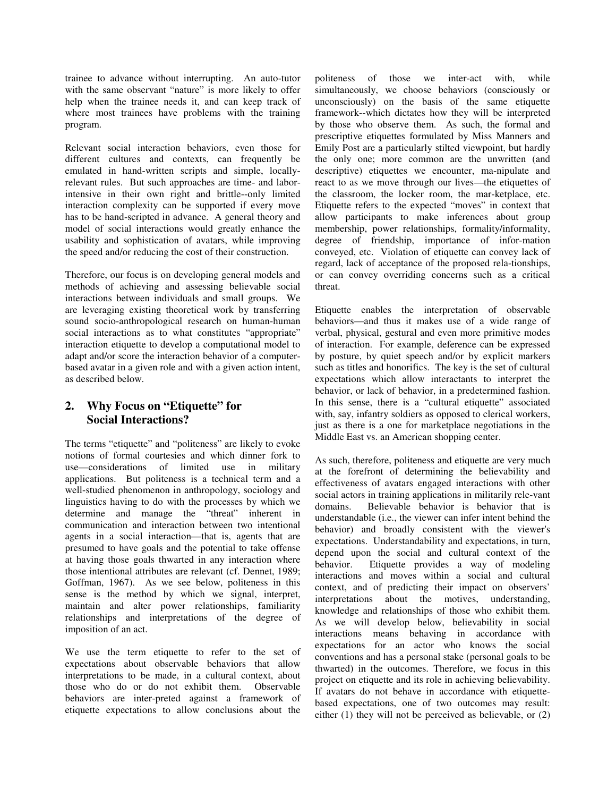trainee to advance without interrupting. An auto-tutor with the same observant "nature" is more likely to offer help when the trainee needs it, and can keep track of where most trainees have problems with the training program.

Relevant social interaction behaviors, even those for different cultures and contexts, can frequently be emulated in hand-written scripts and simple, locallyrelevant rules. But such approaches are time- and laborintensive in their own right and brittle--only limited interaction complexity can be supported if every move has to be hand-scripted in advance. A general theory and model of social interactions would greatly enhance the usability and sophistication of avatars, while improving the speed and/or reducing the cost of their construction.

Therefore, our focus is on developing general models and methods of achieving and assessing believable social interactions between individuals and small groups. We are leveraging existing theoretical work by transferring sound socio-anthropological research on human-human social interactions as to what constitutes "appropriate" interaction etiquette to develop a computational model to adapt and/or score the interaction behavior of a computerbased avatar in a given role and with a given action intent, as described below.

# **2. Why Focus on "Etiquette" for Social Interactions?**

The terms "etiquette" and "politeness" are likely to evoke notions of formal courtesies and which dinner fork to use—considerations of limited use in military applications. But politeness is a technical term and a well-studied phenomenon in anthropology, sociology and linguistics having to do with the processes by which we determine and manage the "threat" inherent in communication and interaction between two intentional agents in a social interaction—that is, agents that are presumed to have goals and the potential to take offense at having those goals thwarted in any interaction where those intentional attributes are relevant (cf. Dennet, 1989; Goffman, 1967). As we see below, politeness in this sense is the method by which we signal, interpret, maintain and alter power relationships, familiarity relationships and interpretations of the degree of imposition of an act.

We use the term etiquette to refer to the set of expectations about observable behaviors that allow interpretations to be made, in a cultural context, about those who do or do not exhibit them. Observable those who do or do not exhibit them. behaviors are inter-preted against a framework of etiquette expectations to allow conclusions about the politeness of those we inter-act with, while simultaneously, we choose behaviors (consciously or unconsciously) on the basis of the same etiquette framework--which dictates how they will be interpreted by those who observe them. As such, the formal and prescriptive etiquettes formulated by Miss Manners and Emily Post are a particularly stilted viewpoint, but hardly the only one; more common are the unwritten (and descriptive) etiquettes we encounter, ma-nipulate and react to as we move through our lives—the etiquettes of the classroom, the locker room, the mar-ketplace, etc. Etiquette refers to the expected "moves" in context that allow participants to make inferences about group membership, power relationships, formality/informality, degree of friendship, importance of infor-mation conveyed, etc. Violation of etiquette can convey lack of regard, lack of acceptance of the proposed rela-tionships, or can convey overriding concerns such as a critical threat.

Etiquette enables the interpretation of observable behaviors—and thus it makes use of a wide range of verbal, physical, gestural and even more primitive modes of interaction. For example, deference can be expressed by posture, by quiet speech and/or by explicit markers such as titles and honorifics. The key is the set of cultural expectations which allow interactants to interpret the behavior, or lack of behavior, in a predetermined fashion. In this sense, there is a "cultural etiquette" associated with, say, infantry soldiers as opposed to clerical workers, just as there is a one for marketplace negotiations in the Middle East vs. an American shopping center.

As such, therefore, politeness and etiquette are very much at the forefront of determining the believability and effectiveness of avatars engaged interactions with other social actors in training applications in militarily rele-vant domains. Believable behavior is behavior that is understandable (i.e., the viewer can infer intent behind the behavior) and broadly consistent with the viewer's expectations. Understandability and expectations, in turn, depend upon the social and cultural context of the behavior. Etiquette provides a way of modeling interactions and moves within a social and cultural context, and of predicting their impact on observers' interpretations about the motives, understanding, knowledge and relationships of those who exhibit them. As we will develop below, believability in social interactions means behaving in accordance with expectations for an actor who knows the social conventions and has a personal stake (personal goals to be thwarted) in the outcomes. Therefore, we focus in this project on etiquette and its role in achieving believability. If avatars do not behave in accordance with etiquettebased expectations, one of two outcomes may result: either (1) they will not be perceived as believable, or (2)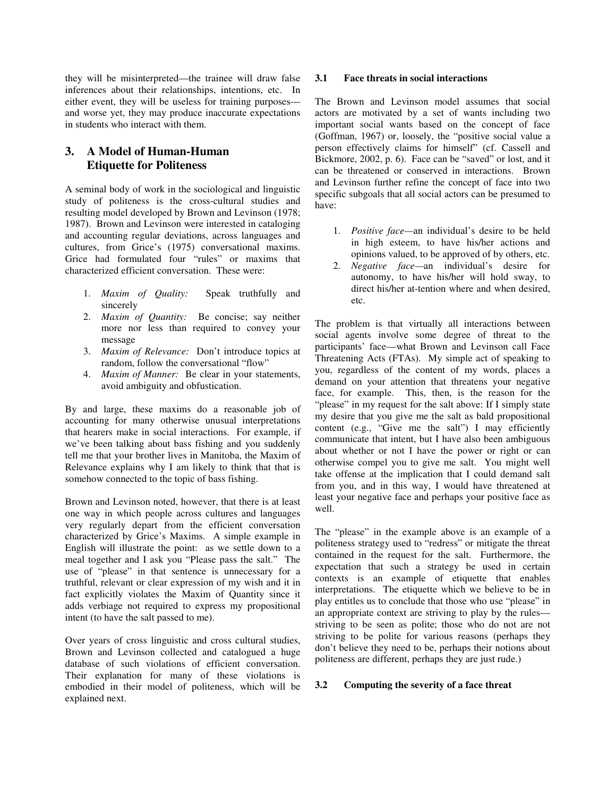they will be misinterpreted—the trainee will draw false inferences about their relationships, intentions, etc. In either event, they will be useless for training purposes and worse yet, they may produce inaccurate expectations in students who interact with them.

# **3. A Model of Human-Human Etiquette for Politeness**

A seminal body of work in the sociological and linguistic study of politeness is the cross-cultural studies and resulting model developed by Brown and Levinson (1978; 1987). Brown and Levinson were interested in cataloging and accounting regular deviations, across languages and cultures, from Grice's (1975) conversational maxims. Grice had formulated four "rules" or maxims that characterized efficient conversation. These were:

- 1. *Maxim of Quality:* Speak truthfully and sincerely
- 2. *Maxim of Quantity:* Be concise; say neither more nor less than required to convey your message
- 3. *Maxim of Relevance:* Don't introduce topics at random, follow the conversational "flow"
- 4. *Maxim of Manner:* Be clear in your statements, avoid ambiguity and obfustication.

By and large, these maxims do a reasonable job of accounting for many otherwise unusual interpretations that hearers make in social interactions. For example, if we've been talking about bass fishing and you suddenly tell me that your brother lives in Manitoba, the Maxim of Relevance explains why I am likely to think that that is somehow connected to the topic of bass fishing.

Brown and Levinson noted, however, that there is at least one way in which people across cultures and languages very regularly depart from the efficient conversation characterized by Grice's Maxims. A simple example in English will illustrate the point: as we settle down to a meal together and I ask you "Please pass the salt." The use of "please" in that sentence is unnecessary for a truthful, relevant or clear expression of my wish and it in fact explicitly violates the Maxim of Quantity since it adds verbiage not required to express my propositional intent (to have the salt passed to me).

Over years of cross linguistic and cross cultural studies, Brown and Levinson collected and catalogued a huge database of such violations of efficient conversation. Their explanation for many of these violations is embodied in their model of politeness, which will be explained next.

#### **3.1 Face threats in social interactions**

The Brown and Levinson model assumes that social actors are motivated by a set of wants including two important social wants based on the concept of face (Goffman, 1967) or, loosely, the "positive social value a person effectively claims for himself" (cf. Cassell and Bickmore, 2002, p. 6). Face can be "saved" or lost, and it can be threatened or conserved in interactions. Brown and Levinson further refine the concept of face into two specific subgoals that all social actors can be presumed to have:

- 1. *Positive face—*an individual's desire to be held in high esteem, to have his/her actions and opinions valued, to be approved of by others, etc.
- 2. *Negative face—*an individual's desire for autonomy, to have his/her will hold sway, to direct his/her at-tention where and when desired, etc.

The problem is that virtually all interactions between social agents involve some degree of threat to the participants' face—what Brown and Levinson call Face Threatening Acts (FTAs). My simple act of speaking to you, regardless of the content of my words, places a demand on your attention that threatens your negative face, for example. This, then, is the reason for the "please" in my request for the salt above: If I simply state my desire that you give me the salt as bald propositional content (e.g., "Give me the salt") I may efficiently communicate that intent, but I have also been ambiguous about whether or not I have the power or right or can otherwise compel you to give me salt. You might well take offense at the implication that I could demand salt from you, and in this way, I would have threatened at least your negative face and perhaps your positive face as well.

The "please" in the example above is an example of a politeness strategy used to "redress" or mitigate the threat contained in the request for the salt. Furthermore, the expectation that such a strategy be used in certain contexts is an example of etiquette that enables interpretations. The etiquette which we believe to be in play entitles us to conclude that those who use "please" in an appropriate context are striving to play by the rules striving to be seen as polite; those who do not are not striving to be polite for various reasons (perhaps they don't believe they need to be, perhaps their notions about politeness are different, perhaps they are just rude.)

### **3.2 Computing the severity of a face threat**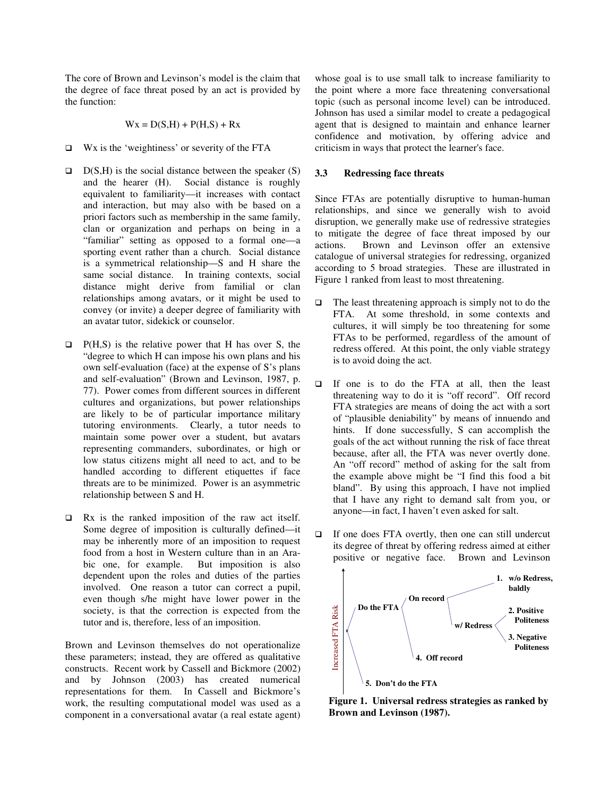The core of Brown and Levinson's model is the claim that the degree of face threat posed by an act is provided by the function:

$$
Wx = D(S,H) + P(H,S) + Rx
$$

- $\Box$  Wx is the 'weightiness' or severity of the FTA
- $D(S,H)$  is the social distance between the speaker  $(S)$ and the hearer (H). Social distance is roughly equivalent to familiarity—it increases with contact and interaction, but may also with be based on a priori factors such as membership in the same family, clan or organization and perhaps on being in a "familiar" setting as opposed to a formal one—a sporting event rather than a church. Social distance is a symmetrical relationship—S and H share the same social distance. In training contexts, social distance might derive from familial or clan relationships among avatars, or it might be used to convey (or invite) a deeper degree of familiarity with an avatar tutor, sidekick or counselor.
- $\Box$  P(H,S) is the relative power that H has over S, the "degree to which H can impose his own plans and his own self-evaluation (face) at the expense of S's plans and self-evaluation" (Brown and Levinson, 1987, p. 77). Power comes from different sources in different cultures and organizations, but power relationships are likely to be of particular importance military tutoring environments. Clearly, a tutor needs to maintain some power over a student, but avatars representing commanders, subordinates, or high or low status citizens might all need to act, and to be handled according to different etiquettes if face threats are to be minimized. Power is an asymmetric relationship between S and H.
- $\Box$  Rx is the ranked imposition of the raw act itself. Some degree of imposition is culturally defined—it may be inherently more of an imposition to request food from a host in Western culture than in an Arabic one, for example. But imposition is also dependent upon the roles and duties of the parties involved. One reason a tutor can correct a pupil, even though s/he might have lower power in the society, is that the correction is expected from the tutor and is, therefore, less of an imposition.

Brown and Levinson themselves do not operationalize these parameters; instead, they are offered as qualitative constructs. Recent work by Cassell and Bickmore (2002) and by Johnson (2003) has created numerical representations for them. In Cassell and Bickmore's work, the resulting computational model was used as a component in a conversational avatar (a real estate agent) whose goal is to use small talk to increase familiarity to the point where a more face threatening conversational topic (such as personal income level) can be introduced. Johnson has used a similar model to create a pedagogical agent that is designed to maintain and enhance learner confidence and motivation, by offering advice and criticism in ways that protect the learner's face.

#### **3.3 Redressing face threats**

Since FTAs are potentially disruptive to human-human relationships, and since we generally wish to avoid disruption, we generally make use of redressive strategies to mitigate the degree of face threat imposed by our actions. Brown and Levinson offer an extensive catalogue of universal strategies for redressing, organized according to 5 broad strategies. These are illustrated in Figure 1 ranked from least to most threatening.

- $\Box$  The least threatening approach is simply not to do the FTA. At some threshold, in some contexts and cultures, it will simply be too threatening for some FTAs to be performed, regardless of the amount of redress offered. At this point, the only viable strategy is to avoid doing the act.
- If one is to do the FTA at all, then the least threatening way to do it is "off record". Off record FTA strategies are means of doing the act with a sort of "plausible deniability" by means of innuendo and hints. If done successfully, S can accomplish the goals of the act without running the risk of face threat because, after all, the FTA was never overtly done. An "off record" method of asking for the salt from the example above might be "I find this food a bit bland". By using this approach, I have not implied that I have any right to demand salt from you, or anyone—in fact, I haven't even asked for salt.



**Figure 1. Universal redress strategies as ranked by Brown and Levinson (1987).** 

 $\Box$  If one does FTA overtly, then one can still undercut its degree of threat by offering redress aimed at either positive or negative face. Brown and Levinson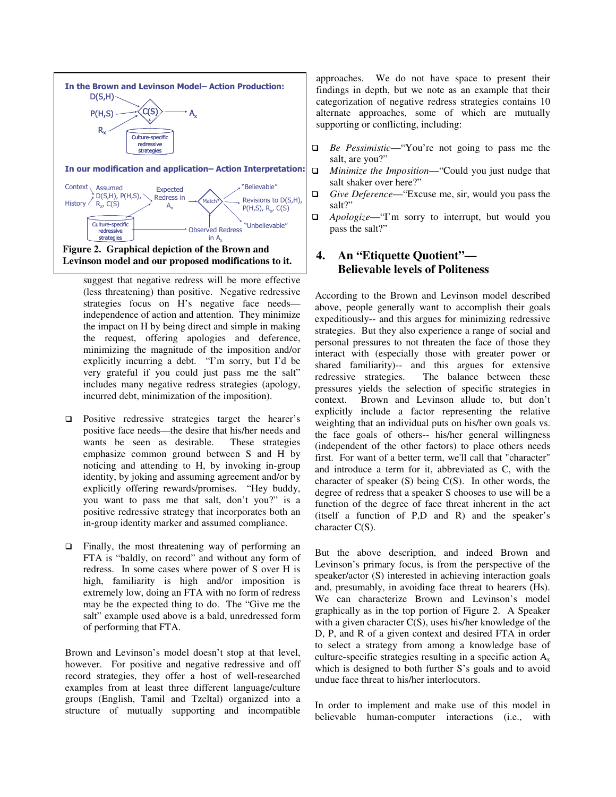

suggest that negative redress will be more effective (less threatening) than positive. Negative redressive strategies focus on H's negative face needs independence of action and attention. They minimize the impact on H by being direct and simple in making the request, offering apologies and deference, minimizing the magnitude of the imposition and/or explicitly incurring a debt. "I'm sorry, but I'd be very grateful if you could just pass me the salt" includes many negative redress strategies (apology, incurred debt, minimization of the imposition).

- $\Box$  Positive redressive strategies target the hearer's positive face needs—the desire that his/her needs and wants be seen as desirable. These strategies wants be seen as desirable. emphasize common ground between S and H by noticing and attending to H, by invoking in-group identity, by joking and assuming agreement and/or by explicitly offering rewards/promises. "Hey buddy, you want to pass me that salt, don't you?" is a positive redressive strategy that incorporates both an in-group identity marker and assumed compliance.
- □ Finally, the most threatening way of performing an FTA is "baldly, on record" and without any form of redress. In some cases where power of S over H is high, familiarity is high and/or imposition is extremely low, doing an FTA with no form of redress may be the expected thing to do. The "Give me the salt" example used above is a bald, unredressed form of performing that FTA.

Brown and Levinson's model doesn't stop at that level, however. For positive and negative redressive and off record strategies, they offer a host of well-researched examples from at least three different language/culture groups (English, Tamil and Tzeltal) organized into a structure of mutually supporting and incompatible approaches. We do not have space to present their findings in depth, but we note as an example that their categorization of negative redress strategies contains 10 alternate approaches, some of which are mutually supporting or conflicting, including:

- *Be Pessimistic*—"You're not going to pass me the salt, are you?"
- *Minimize the Imposition*—"Could you just nudge that salt shaker over here?"
- *Give Deference*—"Excuse me, sir, would you pass the salt?"
- *Apologize*—"I'm sorry to interrupt, but would you pass the salt?"

# **4. An "Etiquette Quotient"— Believable levels of Politeness**

According to the Brown and Levinson model described above, people generally want to accomplish their goals expeditiously-- and this argues for minimizing redressive strategies. But they also experience a range of social and personal pressures to not threaten the face of those they interact with (especially those with greater power or shared familiarity)-- and this argues for extensive redressive strategies. The balance between these pressures yields the selection of specific strategies in context. Brown and Levinson allude to, but don't explicitly include a factor representing the relative weighting that an individual puts on his/her own goals vs. the face goals of others-- his/her general willingness (independent of the other factors) to place others needs first. For want of a better term, we'll call that "character" and introduce a term for it, abbreviated as C, with the character of speaker  $(S)$  being  $C(S)$ . In other words, the degree of redress that a speaker S chooses to use will be a function of the degree of face threat inherent in the act (itself a function of P,D and R) and the speaker's character C(S).

But the above description, and indeed Brown and Levinson's primary focus, is from the perspective of the speaker/actor (S) interested in achieving interaction goals and, presumably, in avoiding face threat to hearers (Hs). We can characterize Brown and Levinson's model graphically as in the top portion of Figure 2. A Speaker with a given character C(S), uses his/her knowledge of the D, P, and R of a given context and desired FTA in order to select a strategy from among a knowledge base of culture-specific strategies resulting in a specific action  $A_x$ which is designed to both further S's goals and to avoid undue face threat to his/her interlocutors.

In order to implement and make use of this model in believable human-computer interactions (i.e., with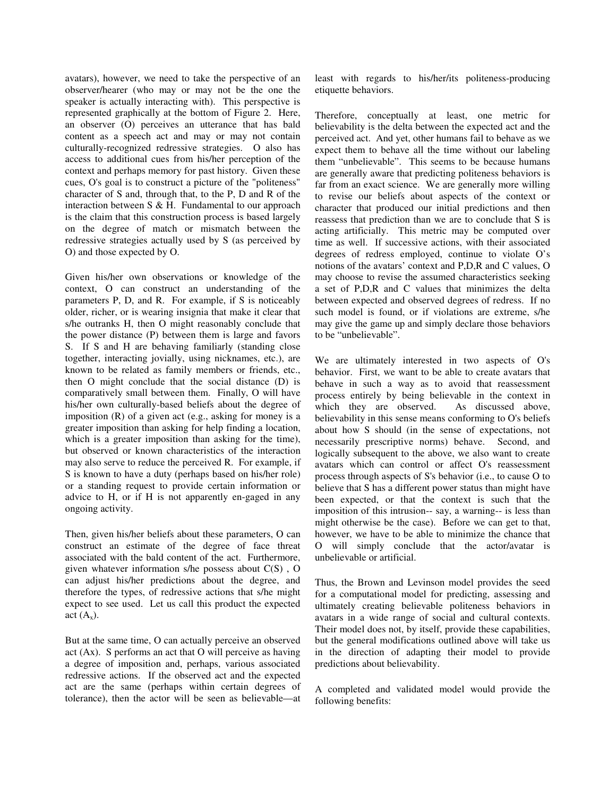avatars), however, we need to take the perspective of an observer/hearer (who may or may not be the one the speaker is actually interacting with). This perspective is represented graphically at the bottom of Figure 2. Here, an observer (O) perceives an utterance that has bald content as a speech act and may or may not contain culturally-recognized redressive strategies. O also has access to additional cues from his/her perception of the context and perhaps memory for past history. Given these cues, O's goal is to construct a picture of the "politeness" character of S and, through that, to the P, D and R of the interaction between  $S \& H$ . Fundamental to our approach is the claim that this construction process is based largely on the degree of match or mismatch between the redressive strategies actually used by S (as perceived by O) and those expected by O.

Given his/her own observations or knowledge of the context, O can construct an understanding of the parameters P, D, and R. For example, if S is noticeably older, richer, or is wearing insignia that make it clear that s/he outranks H, then O might reasonably conclude that the power distance (P) between them is large and favors S. If S and H are behaving familiarly (standing close together, interacting jovially, using nicknames, etc.), are known to be related as family members or friends, etc., then O might conclude that the social distance (D) is comparatively small between them. Finally, O will have his/her own culturally-based beliefs about the degree of imposition (R) of a given act (e.g., asking for money is a greater imposition than asking for help finding a location, which is a greater imposition than asking for the time), but observed or known characteristics of the interaction may also serve to reduce the perceived R. For example, if S is known to have a duty (perhaps based on his/her role) or a standing request to provide certain information or advice to H, or if H is not apparently en-gaged in any ongoing activity.

Then, given his/her beliefs about these parameters, O can construct an estimate of the degree of face threat associated with the bald content of the act. Furthermore, given whatever information s/he possess about  $C(S)$ , O can adjust his/her predictions about the degree, and therefore the types, of redressive actions that s/he might expect to see used. Let us call this product the expected act  $(A_x)$ .

But at the same time, O can actually perceive an observed act (Ax). S performs an act that O will perceive as having a degree of imposition and, perhaps, various associated redressive actions. If the observed act and the expected act are the same (perhaps within certain degrees of tolerance), then the actor will be seen as believable—at least with regards to his/her/its politeness-producing etiquette behaviors.

Therefore, conceptually at least, one metric for believability is the delta between the expected act and the perceived act. And yet, other humans fail to behave as we expect them to behave all the time without our labeling them "unbelievable". This seems to be because humans are generally aware that predicting politeness behaviors is far from an exact science. We are generally more willing to revise our beliefs about aspects of the context or character that produced our initial predictions and then reassess that prediction than we are to conclude that S is acting artificially. This metric may be computed over time as well. If successive actions, with their associated degrees of redress employed, continue to violate O's notions of the avatars' context and P,D,R and C values, O may choose to revise the assumed characteristics seeking a set of P,D,R and C values that minimizes the delta between expected and observed degrees of redress. If no such model is found, or if violations are extreme, s/he may give the game up and simply declare those behaviors to be "unbelievable".

We are ultimately interested in two aspects of O's behavior. First, we want to be able to create avatars that behave in such a way as to avoid that reassessment process entirely by being believable in the context in which they are observed. As discussed above, believability in this sense means conforming to O's beliefs about how S should (in the sense of expectations, not necessarily prescriptive norms) behave. Second, and logically subsequent to the above, we also want to create avatars which can control or affect O's reassessment process through aspects of S's behavior (i.e., to cause O to believe that S has a different power status than might have been expected, or that the context is such that the imposition of this intrusion-- say, a warning-- is less than might otherwise be the case). Before we can get to that, however, we have to be able to minimize the chance that O will simply conclude that the actor/avatar is unbelievable or artificial.

Thus, the Brown and Levinson model provides the seed for a computational model for predicting, assessing and ultimately creating believable politeness behaviors in avatars in a wide range of social and cultural contexts. Their model does not, by itself, provide these capabilities, but the general modifications outlined above will take us in the direction of adapting their model to provide predictions about believability.

A completed and validated model would provide the following benefits: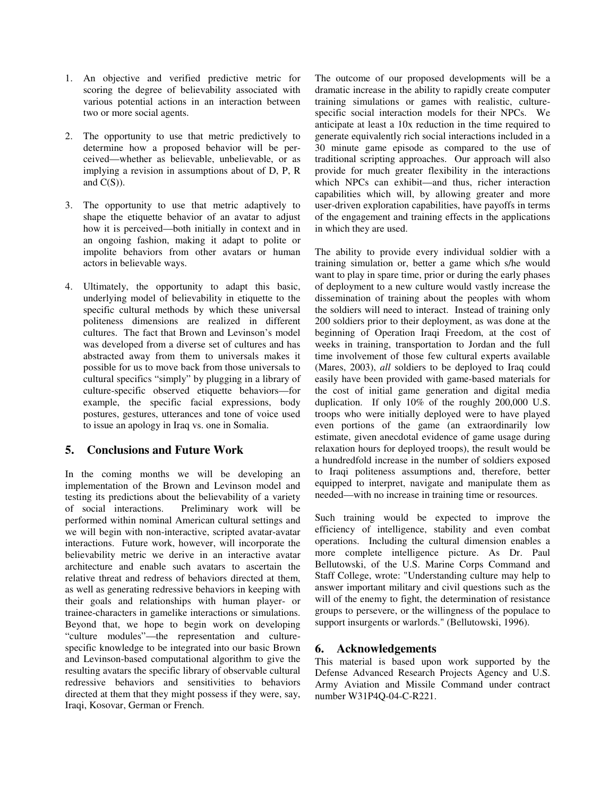- 1. An objective and verified predictive metric for scoring the degree of believability associated with various potential actions in an interaction between two or more social agents.
- 2. The opportunity to use that metric predictively to determine how a proposed behavior will be perceived—whether as believable, unbelievable, or as implying a revision in assumptions about of D, P, R and  $C(S)$ ).
- 3. The opportunity to use that metric adaptively to shape the etiquette behavior of an avatar to adjust how it is perceived—both initially in context and in an ongoing fashion, making it adapt to polite or impolite behaviors from other avatars or human actors in believable ways.
- 4. Ultimately, the opportunity to adapt this basic, underlying model of believability in etiquette to the specific cultural methods by which these universal politeness dimensions are realized in different cultures. The fact that Brown and Levinson's model was developed from a diverse set of cultures and has abstracted away from them to universals makes it possible for us to move back from those universals to cultural specifics "simply" by plugging in a library of culture-specific observed etiquette behaviors—for example, the specific facial expressions, body postures, gestures, utterances and tone of voice used to issue an apology in Iraq vs. one in Somalia.

# **5. Conclusions and Future Work**

In the coming months we will be developing an implementation of the Brown and Levinson model and testing its predictions about the believability of a variety<br>of social interactions. Preliminary work will be Preliminary work will be performed within nominal American cultural settings and we will begin with non-interactive, scripted avatar-avatar interactions. Future work, however, will incorporate the believability metric we derive in an interactive avatar architecture and enable such avatars to ascertain the relative threat and redress of behaviors directed at them, as well as generating redressive behaviors in keeping with their goals and relationships with human player- or trainee-characters in gamelike interactions or simulations. Beyond that, we hope to begin work on developing "culture modules"—the representation and culturespecific knowledge to be integrated into our basic Brown and Levinson-based computational algorithm to give the resulting avatars the specific library of observable cultural redressive behaviors and sensitivities to behaviors directed at them that they might possess if they were, say, Iraqi, Kosovar, German or French.

The outcome of our proposed developments will be a dramatic increase in the ability to rapidly create computer training simulations or games with realistic, culturespecific social interaction models for their NPCs. We anticipate at least a 10x reduction in the time required to generate equivalently rich social interactions included in a 30 minute game episode as compared to the use of traditional scripting approaches. Our approach will also provide for much greater flexibility in the interactions which NPCs can exhibit—and thus, richer interaction capabilities which will, by allowing greater and more user-driven exploration capabilities, have payoffs in terms of the engagement and training effects in the applications in which they are used.

The ability to provide every individual soldier with a training simulation or, better a game which s/he would want to play in spare time, prior or during the early phases of deployment to a new culture would vastly increase the dissemination of training about the peoples with whom the soldiers will need to interact. Instead of training only 200 soldiers prior to their deployment, as was done at the beginning of Operation Iraqi Freedom, at the cost of weeks in training, transportation to Jordan and the full time involvement of those few cultural experts available (Mares, 2003), *all* soldiers to be deployed to Iraq could easily have been provided with game-based materials for the cost of initial game generation and digital media duplication. If only 10% of the roughly 200,000 U.S. troops who were initially deployed were to have played even portions of the game (an extraordinarily low estimate, given anecdotal evidence of game usage during relaxation hours for deployed troops), the result would be a hundredfold increase in the number of soldiers exposed to Iraqi politeness assumptions and, therefore, better equipped to interpret, navigate and manipulate them as needed—with no increase in training time or resources.

Such training would be expected to improve the efficiency of intelligence, stability and even combat operations. Including the cultural dimension enables a more complete intelligence picture. As Dr. Paul Bellutowski, of the U.S. Marine Corps Command and Staff College, wrote: "Understanding culture may help to answer important military and civil questions such as the will of the enemy to fight, the determination of resistance groups to persevere, or the willingness of the populace to support insurgents or warlords." (Bellutowski, 1996).

### **6. Acknowledgements**

This material is based upon work supported by the Defense Advanced Research Projects Agency and U.S. Army Aviation and Missile Command under contract number W31P4Q-04-C-R221.